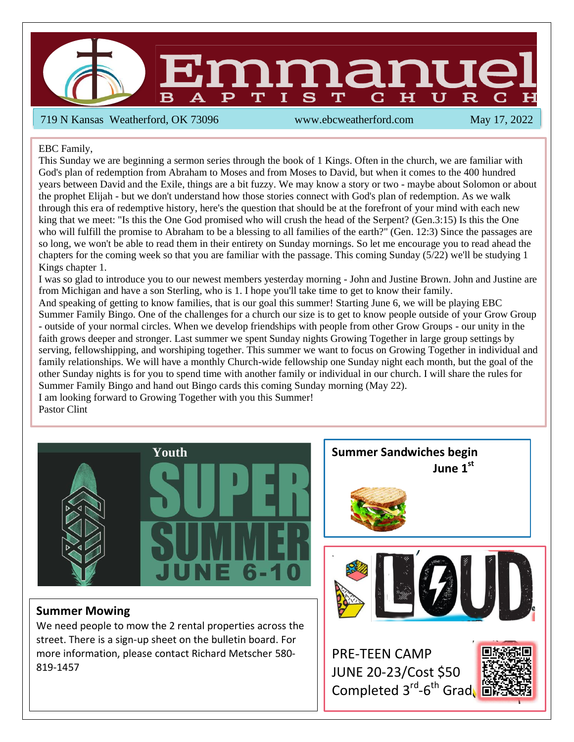2

719 N Kansas Weatherford, OK 73096 www.ebcweatherford.com May 17, 2022

EBC Family,

This Sunday we are beginning a sermon series through the book of 1 Kings. Often in the church, we are familiar with God's plan of redemption from Abraham to Moses and from Moses to David, but when it comes to the 400 hundred years between David and the Exile, things are a bit fuzzy. We may know a story or two - maybe about Solomon or about the prophet Elijah - but we don't understand how those stories connect with God's plan of redemption. As we walk through this era of redemptive history, here's the question that should be at the forefront of your mind with each new king that we meet: "Is this the One God promised who will crush the head of the Serpent? (Gen.3:15) Is this the One who will fulfill the promise to Abraham to be a blessing to all families of the earth?" (Gen. 12:3) Since the passages are so long, we won't be able to read them in their entirety on Sunday mornings. So let me encourage you to read ahead the chapters for the coming week so that you are familiar with the passage. This coming Sunday (5/22) we'll be studying 1 Kings chapter 1.

I was so glad to introduce you to our newest members yesterday morning - John and Justine Brown. John and Justine are from Michigan and have a son Sterling, who is 1. I hope you'll take time to get to know their family.

And speaking of getting to know families, that is our goal this summer! Starting June 6, we will be playing EBC Summer Family Bingo. One of the challenges for a church our size is to get to know people outside of your Grow Group - outside of your normal circles. When we develop friendships with people from other Grow Groups - our unity in the faith grows deeper and stronger. Last summer we spent Sunday nights Growing Together in large group settings by serving, fellowshipping, and worshiping together. This summer we want to focus on Growing Together in individual and family relationships. We will have a monthly Church-wide fellowship one Sunday night each month, but the goal of the other Sunday nights is for you to spend time with another family or individual in our church. I will share the rules for Summer Family Bingo and hand out Bingo cards this coming Sunday morning (May 22). I am looking forward to Growing Together with you this Summer!

Pastor Clint



#### **Summer Mowing**

We need people to mow the 2 rental properties across the street. There is a sign-up sheet on the bulletin board. For more information, please contact Richard Metscher 580- 819-1457